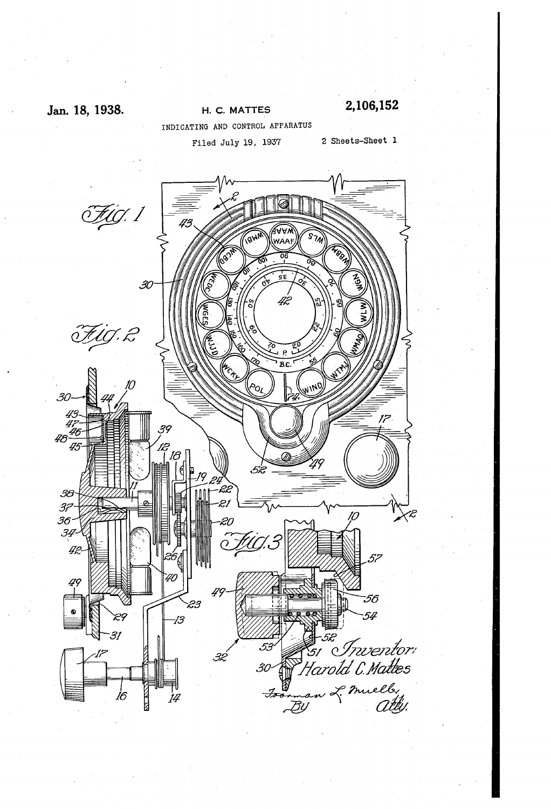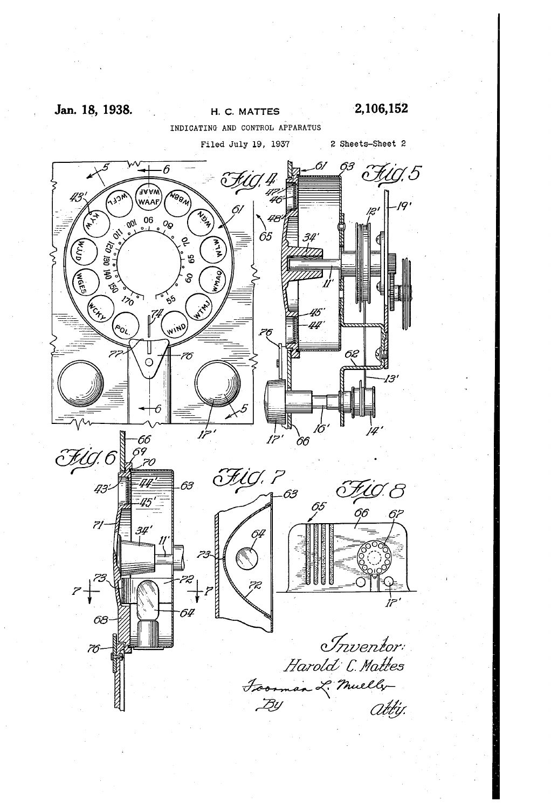## Jan. 18, 1938.

2,106,152

H. C. MATTES INDICATING AND CONTROL APPARATUS

> Filed July 19, 1937 2 Sheets-Sheet 2

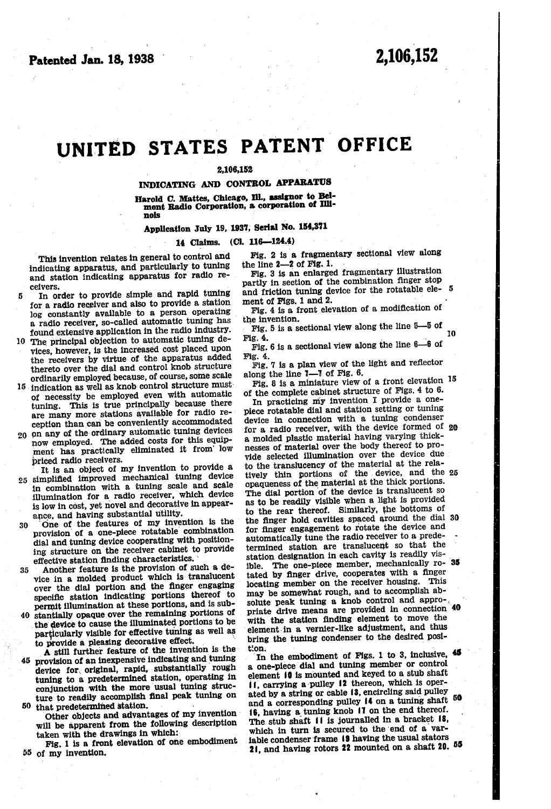# UNITED STATES PATENT office

#### 2,106,152

#### INDICATING AND CONTROL APPARATUS

Harold C. Mattes, Chicago, Ill., assignor to Bel mont Radio Corporation, a corporation of Illinois

## Application July 19, 1937, serial No. 154,871

### 14 Claims. (Cl. 116—124.4)

This invention relates in general to control and indicating apparatus, and particularly to tuning and station indicating apparatus for radio re ceivers.

- 10 found extensive application in the radio industry. The principal objection to automatic tuning de In Order to provide simple and rapid tuning for a radio receiver and also to provide a station log constantly available to a person operating a radio receiver, so-called automatic tuning has
- vices, however, is the increased cost placed upon the receivers by virtue of the apparatus added thereto over the dial and control knob structure ordinarily employed because, of course, some scale
- 5 indication as well as knob control structure must of necessity be employed even with automatic tuning. This is true principally because there are many more stations available for radio re ception than can be conveniently accommodated
- 20 on any of the ordinary automatic tuning devices now employed. The added costs for this equipment has practically eliminated it from low<br>priced radio receivers.

It is an object of my invention to provide a

- 25 simplified improved mechanical tuning device in combination with a tuning scale and scale is low in cost, yet novel and decorative in appearance, and having substantial utility.
- 30 One of the features of my invention is the provision of a one-piece rotatable combination dial and tuning device cooperating with positioning structure on the receiver cabinet to provide effective station finding characteristics.
- 35 Another feature is the provision of such a de vice in a molded product which is translucent over the dial portion and the finger engaging specific station indicating portions thereof to<br>permit illumination at these portions, and is sub-
- permit illumination at these portions, and is sub-<br>40 stantially opaque over the remaining portions of the device to cause the illuminated portions to be particularly visible for effective tuning as well as

45 provision of an inexpensive indicating and tuning<br>device for original, rapid, substantially rough A still further feature of the invention is the tuning to a predetermined station, operating in conjunction with the more usual tuning struc ture to readily accomplish final peak tuning on

50 that predetermined station. Other objects and advantages of my invention will be apparent from the following description taken with the drawings in which:

55 of my invention. Fig. 1 is a front elevation of one embodiment

Fig. 2 is a fragmentary sectional view along the line 2-2 of Fig. 1.

Fig. 3 is an enlarged fragmentary illustration partly in section of the combination finger stop and friction tuning device for the rotatable element of Figs. 1 and 2. 5

Fig. 4 is a front elevation of a modification of

Fig. 5 is a sectional view along the line  $5-5$  of Fig. 4. 10

Fig. 6 is a sectional view along the line  $6-6$  of Fig. 4.

Fig. 7 is a plan view of the light and reflector along the line  $I-7$  of Fig. 6.

along the line  $1-2$  of Fig. 6.<br>Fig. 8 is a miniature view of a front elevation  $15$ of the complete cabinet structure of Figs, 4 to 6.

In practicing my invention I provide a one piece rotatable dial and station setting or tuning device in Connection with a tuning condenser for a radio receiver, with the device formed of 20 a molded plastic material having varying thick-<br>nesses of material over the body thereof to provide selected illumination over the device due to the translucency of the material at the rela tively thin portions of the device, and the 25 opaqueness of the material at the thick portions. The dial portion of the device is translucent so as to be readily visible when a light is provided to the rear thereof. Similarly, the bottoms of for finger engagement to rotate the device and automatically tune the radio receiver to a predetermined station are translucent so that the station designation in each cavity is readily vis ible. The one-piece member, mechanically  $r_0$ - 35 tated by finger drive, cooperates with a finger locating member on the receiver housing. This may be somewhat rough, and to accomplish absolute peak tuning a knob control and approsolute peak tuning a knob control and appro-<br>priate drive means are provided in connection 40 With the station finding element to move the element. in a vernier-like adjustment, and thus bring the tuning condenser to the desired position. the finger hold cavities spaced around the dial 30

In the embodiment of Figs. 1 to 3, inclusive, 45 a one-piece dial and tuning member or control element  $\mathbf{0}$  is mounted and keyed to a stub shaft  $\mathbf{0}$ , carrying a pulley  $\mathbf{0}$  is thereon, which is operlf, carrying a pulley f2 thereon, which is oper ated by a string or cable 3, encircling said pulley and a corresponding pulley 4 on a tuning shaft 50) 16, having a tuning knob 17 on the end thereof.<br>The stub shaft 11 is journalled in a bracket 18, which in turn is secured to the end of a variable condenser frame 19 having the usual stators  $21$ , and having rotors 22 mounted on a shaft  $20.$   $55$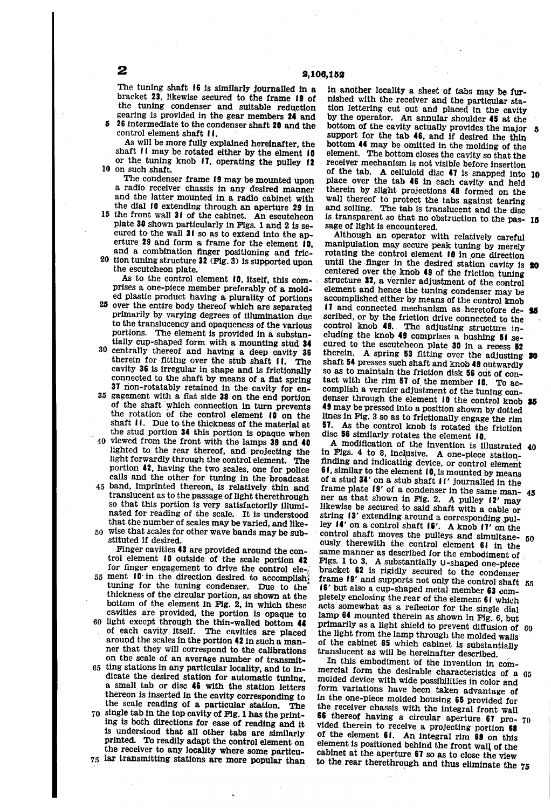The tuning shaft f6 is similarly journalled in a bracket 23, likewise secured to the frame 19 of the tuning condenser and suitable reduction gearing is provided in the gear members 24 and 26 intermediate to the condenser shaft 20 and the control element shaft 11.

O on Such shaft. As will be more fully explained hereinafter, the shaft  $\mathfrak l$  i may be rotated either by the elment  $\mathfrak l$ 0 or the tuning knob  $17$ , operating the pulley  $12$ 

The condenser frame 19 may be mounted upon a radio receiver chassis in any desired manner and the latter mounted in a radio cabinet with the dial fo extending through an aperture 29 in

- 5 the front wall 31 of the cabinet. An escutcheon plate 30 shown particularly in Figs. 1 and 2 is se cured to the wall 31 so as to extend into the aperture 29 and form a frame for the element  $\mathbf{10}$ . and a combination finger positioning and fric-
- 20 tion tuning structure 32 (Fig. 3) is supported upon

As to the control element 10, itself, this comprises a one-piece member preferably of a mold ed plastic product having a plurality of portions

- 25 over the entire body thereof which are separated primarily by varying degrees of illumination due to the translucency and opaqueness of the various portions. The element is provided in a substantially cup-shaped form with a mounting stud 34
- 30 centrally thereof and having a deep cavity 36 therein for fitting over the stub shaft 11. The cavity 36 is irregular in shape and is frictionally connected to the shaft by means of a flat spring 37 non-rotatably retained in the cavity for en-
- 35 gagement with a flat side 38 on the end portion of the shaft which connection in turn prevents the rotation of the control element  $\mathbf{f}(\mathbf{0})$  on the shaft II. Due to the thickness of the material at the stud portion 34 this portion is opaque when
- 40 viewed from the front with the lamps 39 and 40 lighted to the rear thereof, and projecting the light forwardly through the control element. The portion 42, having the two scales, one for police calls and the other for tuning in the broadcast
- 45 band, imprinted thereon, is relatively thin and translucent as to the passage of light therethrough so that this portion is very satisfactorily illuminated for reading of the scale. It is understood that the number of scales may be varied, and like

50 Wise that Scales for other wave bands may be sub stituted if desired.

55 ment 10 in the direction desired to accomplish 60 light except through the thin-walled bottom 44 65 ting stations in any particular locality, and to in 70 single tab in the top cavity of Fig. 1 has the printthe receiver to any locality where some particu-<br>75 lar transmitting stations are more popular than Finger cavities 43 are provided around the control element 10 outside of the scale portion 42 for finger engagement to drive the control ele tuning for the tuning condenser. Due to the thickness of the circular portion, as shown at the bottom of the element in Fig. 2, in which these cavities are provided, the portion is opaque to of each cavity itself. The cavities are placed around the scales in the portion 42 in such a man ner that they will correspond to the calibrations on the scale of an average number of transmit dicate the desired station for automatic tuning, a small tab or disc 46 with the station letters thereon is inserted in the cavity corresponding to the scale reading of a particular station. The ing is both directions for ease of reading and it is understood that all other tabs are similarly printed. To readily adapt the control element on the receiver to any locality where some particu-

in another locality a sheet of tabs may be fur-<br>nished with the receiver and the particular station lettering cut out and placed in the cavity by the operator. An annular shoulder 45 at the support for the tab 46, and if desired the thin bottom 44 may be omitted in the molding of the element. The bottom closes the cavity so that the receiver mechanism is not visible before insertion of the tab. A celluloid disc  $\overline{47}$  is snapped into 10 place over the tab. 46 in each cavity and held therein by slight projections 48 formed on the wall thereof to protect the tabs against tearing and Soiling. The tab is translucent and the disc is transparent so that no obstruction to the pas- 15 sage of light is encountered.

Although an operator with relatively careful rotating the control element 10 in one direction until the finger in the desired station cavity is **20** centered over the knob  $49$  of the friction tuning structure 32, a vernier adjustment of the control element and hence the tuning condenser may be accomplished either by means of the control knob 17 and connected mechanism as heretofore described, or by the friction drive connected to the control knob 49. The adjusting structure in cluding the knob 49 comprises a bushing  $51$  secured to the escutcheon plate 30 in a recess 52 therein. A spring 53 fitting over the adjusting shaft 54 presses such shaft and knob 49 outwardly so as to maintain the friction disk 56 out of contact with the rim 57 of the member 10. To accomplish a vernier adjustment of the tuning condenser through the element  $10$  the control knob  $35$ 49 may be pressed into a position shown by dotted lines in Fig. 3 SO as to frictionally engage the rim 57. As the control knob is rotated the friction disc 56 similarly rotates the element 10.

in Figs. 4 to 8, inclusive. A one-piece station-finding and indicating device, or control element 61, similar to the element 10, is mounted by means of a stud 34' on a stub shaft fl' journalled in the frame plate  $19'$  of a condenser in the same manner as that shown in Fig. 2. A pulley  $12'$  may likewise be secured to said shaft with a cable or string  $3'$  extending around a corresponding pulley  $14'$  on a control shaft  $16'$ . A knob  $17'$  on the control shall moves the pulleys and simultane-  $50$ <br>ously therewith the control slopes  $\Lambda$ ously therewith the control element  $61$  in the same manner as described for the embodiment of Figs. 1 to 3. A substantially U-shaped one-piece bracket  $62$  is rigidly secured to the condenser Frame  $9'$  and supports not only the control shaft  $55$ f6' but also a cup-shaped metal member 63 com pletely enclosing the rear of the element  $61$  which acts somewhat as a reflector for the single dial<br>lamp 64 mounted therein as shown in Fig. 6, but lamp 64 mounted therein as shown in Fig. 6, but primarily as a light shield to prevent diffusion of 60 the light from the lamp through the molded walls<br>of the cabinet 65 which cabinet is substantially translucent as will be hereinafter described. A modification of the invention is illustrated 40 45

In this embodiment of the invention in com mercial form the desirable characteristics of a 65 molded device with wide possibilities in color and form variations have been taken advantage of in the one-piece molded housing 65 provided for the receiver chassis with the integral front wall<br>
66 thereof having a circular aperture 67 pro- 70<br>
vided therein to receive a projecting portion 68 vided therein to receive a projecting portion 68 of the element  $61$ . An integral rim 69 on this element is positioned behind the front wall of the cabinet at the aperture 67 so as to close the view to the rear therethrough and thus eliminate the 75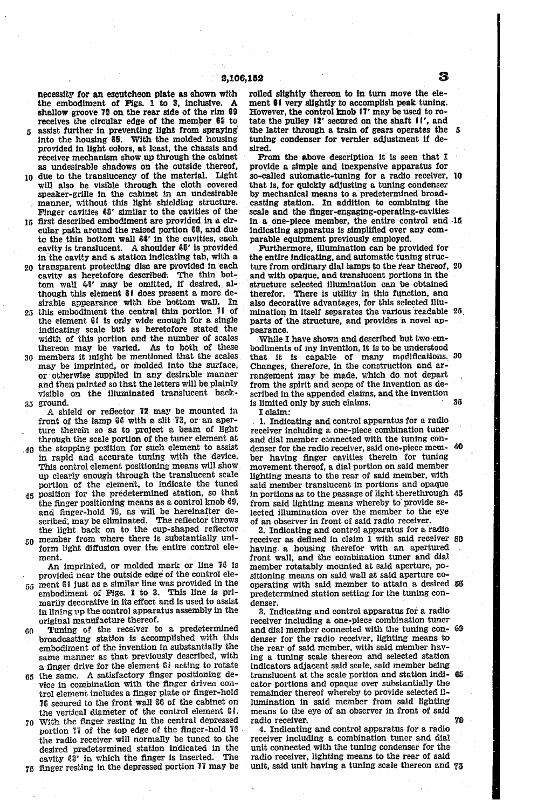necessity for an escutcheon plate as shown with the embodiment of Figs.  $1$  to 3, inclusive. A shallow groove 70 on the rear side of the rim 69

- receives the circular edge of the member  $$3$  to assist further in preventing light from spraying into the housing  $$5$ . With the molded housing provided in light colors, at least, the chassis and receiver mechanism show up through the cabinet<br>as undesirable shadows on the outside thereof,
- O as undesirable shadows on the outside thereof, due to the translucency of the material. Light will also be visible through the cloth covered speaker-grille in the cabinet in an undesirable manner, without this light shielding structure. Finger cavities 68' similar to the cavities of the
- 5 first described embodiment are provided in a cir cular path around the raised portion 68, and due to the thin bottom wall  $44'$  in the cavities, each cavity is translucent. A shoulder  $45'$  is provided in the cavity and a station indicating tab, with a
- 20 transparent protecting disc are provided in each cavity as heretofore described. The thin bottom wall 44' may be omitted, if desired, although this element 61 does present a more de-<br>sirable appearance with the bottom wall. In sirable appearance with the bottom wall.
- this embodiment the central thin portion  $71$  of the element  $61$  is only wide enough for a single indicating scale but as heretofore stated the width of this portion and the number of scales thereon may be varied. As to both of these
- 30 members it might be mentioned that the scales may be imprinted, or molded into the Surface, or otherwise supplied in any desirable manner visible on the illuminated translucent background.
- A shield or reflector 72 may be mounted in front of the lamp 84 with a slit 73, or an aperture therein so as to project a beam of light through the scale portion of the tuner element at
- 40 the stopping position for such element to assist in rapid and accurate turing with the device. This control element positioning means will show up clearly enough through the translucent scale<br>portion of the element, to indicate the tuned
- portion of the element, to indicate the tuned<br>45 position for the predetermined station, so that the finger positioning means as a control knob 69, and finger-hold 76, as will be hereinafter described, may be eliminated. The reflector throws the light back on to the cup-shaped reflector
- o member from where there is substantially uni-<br>Communicate difference area the outline control clear form light diffusion over the entire control ele ment.

An imprinted, or molded mark or line 76 is provided near the outside edge of the control ele-

- $55$  ment S1 just as a similar line was provided in the  $55$ embodiment of . Figs. 1 to 3. This line is pri-<br>marily decorative in its effect and is used to assist<br>in lining up the control apparatus assembly in the<br>original manufacture thereof.
- ባበ Tuning of the receiver to a predetermined broadcasting station is accomplished with this embodiment of the invention in substantially the same manner as that previously described, With a finger drive for the element  $61$  acting to rotate
- 5 the same. A satisfactory finger positioning de vice in combination with the finger driven control element includes a finger plate or finger-hold **16** secured to the front wall 66 of the cabinet on the vertical diameter of the control element 61.
- 70 With the finger resting in the central depressed cavity 43' in which the finger is inserted. The finger resting in the depressed portion 77 may be portion 77 of the top edge of the finger-hold 76 the radio receiver. will normally be tuned to the desired predetermined station indicated in the cavity  $\ell\$ <sup>2</sup> in which the finger is inserted. The

rolled slightly thereon to in turn move the element  $61$  very slightly to accomplish peak tuning. However, the control knob  $11'$  may be used to rotate the pulley  $12'$  secured on the shaft  $11'$ , and the latter through a train of gears operates the the latter through a train of gears operates the  $5$  tuning condenser for vernier adjustment if desired.

From the above description it is seen that I provide a simple and inexpensive apparatus for so-called automatic-tuning for a radio receiver, O that is, for quickly adjusting a tuning condenser by mechanical means to a predetermined broad casting station. In addition to combining the Scale and the finger-engaging-operating-cavities indicating apparatus is simplified over any comparable equipment previously employed. in a one-piece member, the entire control and 15.

Furthermore, illumination can be provided for the entire indicating, and automatic tuning struc ture from ordinary dial lamps to the rear thereof, 20 and with opaque, and translucent portions in the structure selected illumination can be obtained therefor. There is utility in this function, and also decorative advantages, for this selected illualso decorative advantages, for this selected internation in itself separates the various readable 25. parts of the structure, and provides a novel ap pearance,

While I have shown and described but two embodiments of my invention, it is to be understood that it is capable of many modifications.<br>Changes, therefore, in the construction and arrangement may be made, which do not depart from the spirit and scope of the invention as described in the appended claims, and the invention is limited only by such claims. 30

I claim:

1. Indicating and control apparatus for 8 radio receiver including a one-piece combination tuner and dial member connected with the tuning con denser for the radio receiver, said one-piece men ber having finger cavities therein for tuning movement thereof, a dial portion on said member lighting means to the rear of said member, with said member translucent in portions and opaque<br>in portions as to the passage of light therethrough<br>from said lighting means whereby to provide selected illumination over the member to the eye of an observer in front of said radio receiver. 4) 85

2. Indicating and control apparatus for a radio having a housing therefor with an apertured front wall, and the combination tuner and dia member rotatably mounted at said aperture, positioning means on said wall at said aperture copredetermined station setting for the tuning condenser. receiver as defined in claim 1 with said receiver 50 operating with said member to attain a desired 55

3. Indicating and control apparatus for a radic receiver including a one-piece combination tuner and dial member connected with the tuning con- 60 denser for the radio receiver, lighting means to the rear of said member, with said member having a tuning scale thereon and selected station indicators adjacent said scale, said member being translucent at the scale portion and station indi cator portions and opaque over substantially the lumination in said member from said lighting means to the eye of an observer in front of said radio receiver. radio receiver.

4. Indicating and control apparatus for a radio receiver including a combination tuner and dia! unit connected with the tuning condenser for the radio receiver, lighting means to the rear of said unit, said unit having a tuning scale thereon and 76

35

.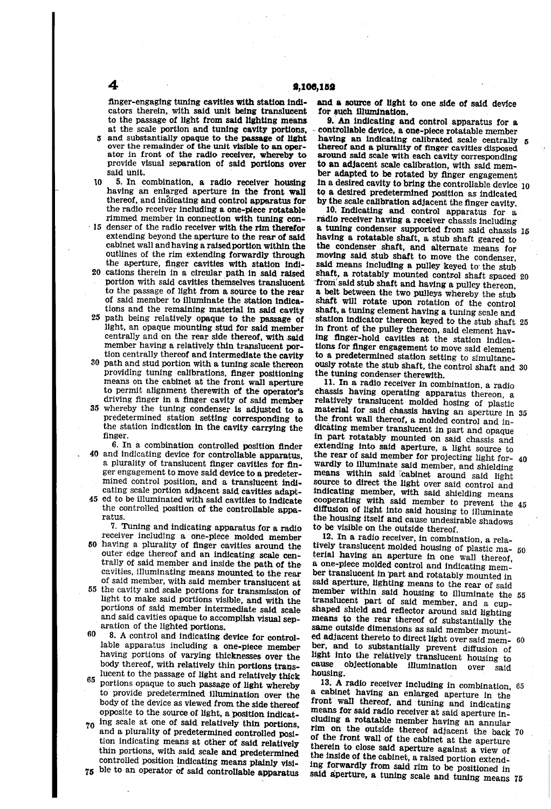finger-engaging tuning cavities with station indi cators therein, with said unit being translucent to the passage of light from said lighting means at the scale portion and tuning cavity portions,

 $5$  and substantially opaque to the passage of light over the remainder of the unit visible to an oper ator in front of the radio receiver, whereby to provide visual separation of said portions over said unit.<br>5. In combination, a radio receiver housing

10 having an enlarged aperture in the front wall thereof, and indicating and control apparatus for the radio receiver including a one-piece rotatable rimmed member in connection with tuning con-

- $\pm$  15 denser of the radio receiver with the rim therefor extending beyond the aperture to the rear of said<br>cabinet wall and having a raised portion within the outlines of the rim extending forwardly through the aperture, finger cavities with station indi
- 20 cations therein in a circular path in said raised portion with said cavities themselves translucent to the passage of light from a source to the rear of said member to illuminate the station indications and the remaining material in said cavity
- 25 tions and the remaining material in said cavity path being relatively opaque to the passage of member having a relatively thin translucent portion centrally thereof and intermediate the cavity<br>30 path and stud portion with a tuning scale thereon light, an opaque mounting stud for said member centrally and on the rear side thereof, with said<br>member having a relatively thin translucent por-
- providing tuning calibrations, finger positioning to permit alignment therewith of the operator's driving finger in a finger cavity of said member
- 35 whereby the tuning condenser is adjusted to a predetermined station setting corresponding to the station indication in the cavity carrying the finger.

40 and indicating device for controllable apparatus, 6. In a combination controlled position finder a plurality of translucent inger cavities for fin-<br>ger engagement to move said device to a predetermined control position, and a translucent indi cating scale portion adjacent said cavities adapt-

45 ed to be illuminated with Said cavities to indicate the controlled position of the controllable apparatus.

7. Tuning and indicating apparatus for a radio receiver including a one-piece molded member

- 50 having a plurality of finger cavities around the outer edge thereof and an indicating scale cen trally of said member and inside the path of the avities, illuminating means mounted to the rear of Said member, With said member translucent at
- 55 the cavity and scale portions for transmission of light to make said portions visible, and with the portions of Said member intermediate said scale and said cavities opaque to accomplish visual separation of the lighted portions.

aration of the lighted portions.<br> $60 \quad 8$ . A control and indicating device for control-65 lable apparatus including a one-piece member having portions of varying thicknesses over the body thereof, with relatively thin portions trans lucent to the passage of light and relatively thick

- portions opaque to such passage of light whereby to provide predetermined illumination over the body of the device as viewed from the side thereof opposite to the source of light, a position indicat
- 70 ing scale at one of said relatively thin portions, and a plurality of predetermined controlled position indicating means at other of said relatively<br>thin portions, with said scale and predetermined<br>controlled position indicating means plainly visi-

75 ble to an operator of said controllable apparatus

and a source of light to one side of said device for such illumination.

9. An indicating and control apparatus for a controllable device, a one-piece rotatable member having an indicating calibrated scale centrally thereof and a plurality of finger cavities disposed around said scale with each cavity corresponding to an adjacent scale calibration, with said mem ber adapted to be rotated by finger engagement<br>in a desired cavity to bring the controllable device 10 to a desired predetermined position as indicated S

10. Indicating and control apparatus for a radio receiver having a receiver chassis including a tuning condenser supported from said chassis 5 having a rotatable shaft, a stub shaft geared to the condenser shaft, and alternate means for moving said stub shaft to move the condenser, said means including a pulley keyed to the stub from said stub shaft and having a pulley thereon, a belt between the two pulleys whereby the stub shaft will rotate upon rotation of the control shaft, a tuning element having a tuning scale and station indicator thereon keyed to the stub shaft  $25$ in front of the pulley thereon, said element hav ing finger-hold cavities at the station indica tions for finger engagement to move said element to a predetermined station setting to simultane busiy rotate the stub shaft, the control shaft and 30 the tuning condenser therewith. shaft, a rotatably mounted control shaft spaced 20

11. In a radio receiver in combination, a radio chassis having operating apparatus thereon, a relatively translucent molded hosing of plastic material for said chassis having an aperture in 35 the front wall thereof, a molded control and in dicating member translucent in part and Opaque in part rotatably mounted on said chassis and extending into said aperture, a light source to the rear of said member for projecting light for wardly to illuminate said member, and shielding<br>means within said cabinet around said light means within said cabinet around said light<br>source to direct the light over said control and<br>indicating member, with said shielding means<br>cooperating with said member to prevent the 45<br>operating means diffusion of light into said housing to illuminate the housing itself and cause undesirable shadows to be visible on the outside thereof.<br>12. In a radio receiver, in combination, a rela-40

12. In a radio receiver, in combination, a rela-<br>tively translucent molded housing of plastic ma- 50<br>terial hould a n application terial having an aperture in one wall thereof, a one-piece molded control and indicating mem said aperture, lighting means to the rear of said member within said housing to illuminate the 55 translucent part of said member, and a cup-<br>shaped shield and reflector around said lighting means to the rear thereof of substantially the same outside dimensions as said member mountsame outside dimensions as said member mount-<br>ed adjacent thereto to direct light over said mem-<br>ber, and to substantially prevent diffusion of light into the relatively translucent housing to cause objectionable illumination over said housing. 60

13. A radio receiver including in combination, 65 a cabinet having an enlarged aperture in the front wall thereof, and tuning and indicating cluding a rotatable member having an annular  $\frac{1}{2}$  on the outside thereof adjacent the back 70 of the front wall of the cabinet at the aperture therein to close said aperture against a view of ing forwardly from said rim to be positioned in said aperture, a tuning scale and tuning means 75